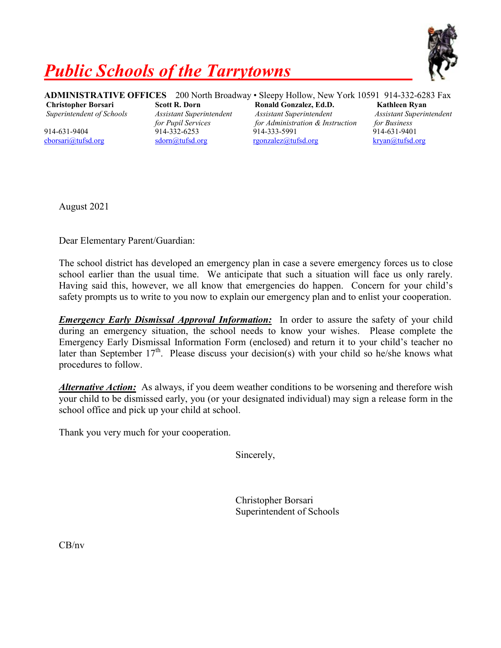

## *Public Schools of the Tarrytowns*

**ADMINISTRATIVE OFFICES** 200 North Broadway • Sleepy Hollow, New York 10591 914-332-6283 Fax

**Christopher Borsari Scott R. Dorn Ronald Gonzalez, Ed.D. Kathleen Ryan** *Superintendent of Schools Assistant Superintendent Assistant Superintendent Assistant Superintendent for Pupil Services for Administration & Instruction for Business* 914-631-9404 914-332-6253 914-333-5991 914-631-9401 [cborsari@tufsd.org](mailto:cborsari@tufsd.org) [sdorn@tufsd.org](mailto:sdorn@tufsd.org) [rgonzalez@tufsd.org](mailto:rgonzalez@tufsd.org) [kryan@tufsd.org](mailto:kryan@tufsd.org)

August 2021

Dear Elementary Parent/Guardian:

The school district has developed an emergency plan in case a severe emergency forces us to close school earlier than the usual time. We anticipate that such a situation will face us only rarely. Having said this, however, we all know that emergencies do happen. Concern for your child's safety prompts us to write to you now to explain our emergency plan and to enlist your cooperation.

*Emergency Early Dismissal Approval Information:* In order to assure the safety of your child during an emergency situation, the school needs to know your wishes. Please complete the Emergency Early Dismissal Information Form (enclosed) and return it to your child's teacher no later than September  $17<sup>th</sup>$ . Please discuss your decision(s) with your child so he/she knows what procedures to follow.

*Alternative Action:* As always, if you deem weather conditions to be worsening and therefore wish your child to be dismissed early, you (or your designated individual) may sign a release form in the school office and pick up your child at school.

Thank you very much for your cooperation.

Sincerely,

Christopher Borsari Superintendent of Schools

CB/nv